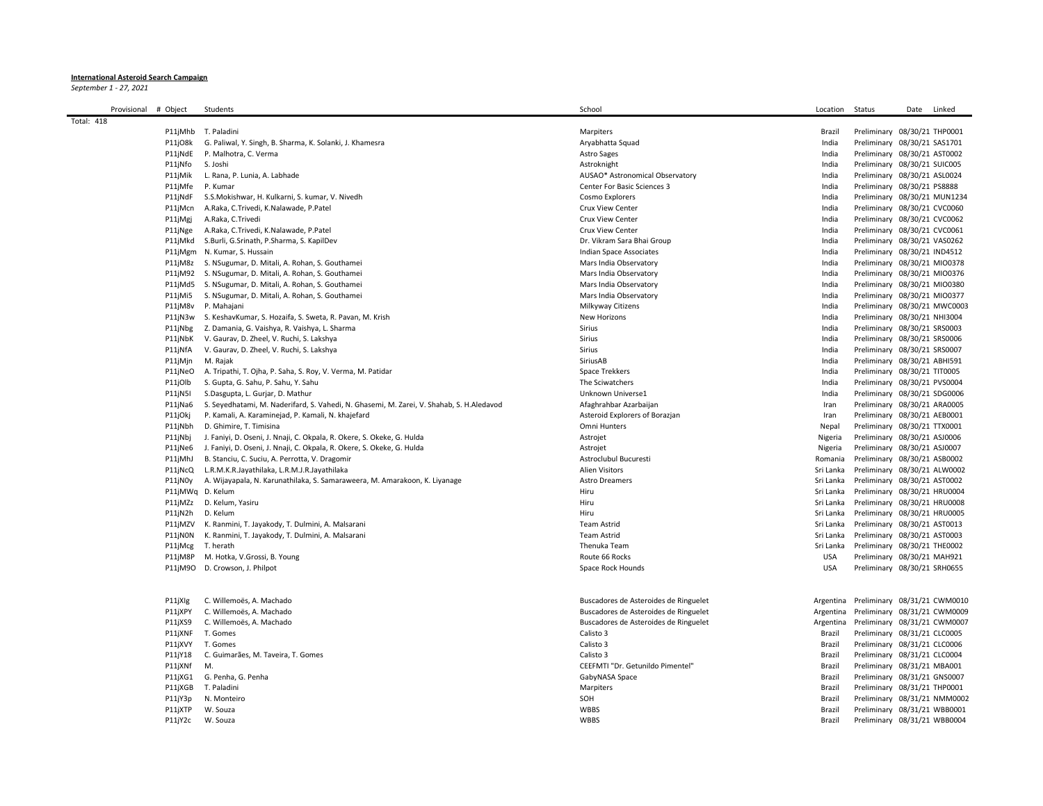## **International Asteroid Search Campaign**

*September 1 - 27, 2021*

| Provisional       | # Object         | Students                                                                                 | School                                | Location   | Status                       | Date | Linked |
|-------------------|------------------|------------------------------------------------------------------------------------------|---------------------------------------|------------|------------------------------|------|--------|
| <b>Total: 418</b> |                  |                                                                                          |                                       |            |                              |      |        |
|                   |                  | P11jMhb T. Paladini                                                                      | Marpiters                             | Brazil     | Preliminary 08/30/21 THP0001 |      |        |
|                   | P11jO8k          | G. Paliwal, Y. Singh, B. Sharma, K. Solanki, J. Khamesra                                 | Aryabhatta Squad                      | India      | Preliminary 08/30/21 SAS1701 |      |        |
|                   |                  | P11jNdE P. Malhotra, C. Verma                                                            | <b>Astro Sages</b>                    | India      | Preliminary 08/30/21 AST0002 |      |        |
|                   | P11jNfo S. Joshi |                                                                                          | Astroknight                           | India      | Preliminary 08/30/21 SUIC005 |      |        |
|                   | P11jMik          | L. Rana, P. Lunia, A. Labhade                                                            | AUSAO* Astronomical Observatory       | India      | Preliminary 08/30/21 ASL0024 |      |        |
|                   | P11jMfe P. Kumar |                                                                                          | Center For Basic Sciences 3           | India      | Preliminary 08/30/21 PS8888  |      |        |
|                   |                  | P11jNdF S.S.Mokishwar, H. Kulkarni, S. kumar, V. Nivedh                                  | Cosmo Explorers                       | India      | Preliminary 08/30/21 MUN1234 |      |        |
|                   |                  | P11jMcn A.Raka, C.Trivedi, K.Nalawade, P.Patel                                           | Crux View Center                      | India      | Preliminary 08/30/21 CVC0060 |      |        |
|                   |                  |                                                                                          |                                       | India      |                              |      |        |
|                   | P11jMgj          | A.Raka, C.Trivedi                                                                        | Crux View Center                      |            | Preliminary 08/30/21 CVC0062 |      |        |
|                   | P11jNge          | A.Raka, C.Trivedi, K.Nalawade, P.Patel                                                   | Crux View Center                      | India      | Preliminary 08/30/21 CVC0061 |      |        |
|                   |                  | P11jMkd S.Burli, G.Srinath, P.Sharma, S. KapilDev                                        | Dr. Vikram Sara Bhai Group            | India      | Preliminary 08/30/21 VAS0262 |      |        |
|                   |                  | P11jMgm N. Kumar, S. Hussain                                                             | Indian Space Associates               | India      | Preliminary 08/30/21 IND4512 |      |        |
|                   |                  | P11jM8z S. NSugumar, D. Mitali, A. Rohan, S. Gouthamei                                   | Mars India Observatory                | India      | Preliminary 08/30/21 MI00378 |      |        |
|                   |                  | P11jM92 S. NSugumar, D. Mitali, A. Rohan, S. Gouthamei                                   | Mars India Observatory                | India      | Preliminary 08/30/21 MIO0376 |      |        |
|                   |                  | P11jMd5 S. NSugumar, D. Mitali, A. Rohan, S. Gouthamei                                   | Mars India Observatory                | India      | Preliminary 08/30/21 MIO0380 |      |        |
|                   |                  | P11jMi5 S. NSugumar, D. Mitali, A. Rohan, S. Gouthamei                                   | Mars India Observatory                | India      | Preliminary 08/30/21 MI00377 |      |        |
|                   |                  | P11jM8v P. Mahajani                                                                      | Milkyway Citizens                     | India      | Preliminary 08/30/21 MWC0003 |      |        |
|                   |                  | P11jN3w S. KeshavKumar, S. Hozaifa, S. Sweta, R. Pavan, M. Krish                         | New Horizons                          | India      | Preliminary 08/30/21 NHI3004 |      |        |
|                   |                  | P11jNbg Z. Damania, G. Vaishya, R. Vaishya, L. Sharma                                    | Sirius                                | India      | Preliminary 08/30/21 SRS0003 |      |        |
|                   |                  | P11jNbK V. Gaurav, D. Zheel, V. Ruchi, S. Lakshya                                        | Sirius                                | India      | Preliminary 08/30/21 SRS0006 |      |        |
|                   | P11jNfA          | V. Gaurav, D. Zheel, V. Ruchi, S. Lakshya                                                | Sirius                                | India      | Preliminary 08/30/21 SRS0007 |      |        |
|                   | P11jMjn          | M. Rajak                                                                                 | SiriusAB                              | India      | Preliminary 08/30/21 ABHI591 |      |        |
|                   |                  | P11jNeO A. Tripathi, T. Ojha, P. Saha, S. Roy, V. Verma, M. Patidar                      | <b>Space Trekkers</b>                 | India      | Preliminary 08/30/21 TIT0005 |      |        |
|                   | P11jOlb          | S. Gupta, G. Sahu, P. Sahu, Y. Sahu                                                      | The Sciwatchers                       | India      | Preliminary 08/30/21 PVS0004 |      |        |
|                   | P11jN5I          | S.Dasgupta, L. Gurjar, D. Mathur                                                         | Unknown Universe1                     | India      | Preliminary 08/30/21 SDG0006 |      |        |
|                   | P11jNa6          | S. Seyedhatami, M. Naderifard, S. Vahedi, N. Ghasemi, M. Zarei, V. Shahab, S. H.Aledavod | Afaghrahbar Azarbaijan                | Iran       | Preliminary 08/30/21 ARA0005 |      |        |
|                   | P11jOkj          | P. Kamali, A. Karaminejad, P. Kamali, N. khajefard                                       | Asteroid Explorers of Borazjan        | Iran       | Preliminary 08/30/21 AEB0001 |      |        |
|                   | P11jNbh          | D. Ghimire, T. Timisina                                                                  | Omni Hunters                          | Nepal      | Preliminary 08/30/21 TTX0001 |      |        |
|                   | P11jNbj          | J. Faniyi, D. Oseni, J. Nnaji, C. Okpala, R. Okere, S. Okeke, G. Hulda                   | Astrojet                              | Nigeria    | Preliminary 08/30/21 ASJ0006 |      |        |
|                   |                  | P11jNe6 J. Faniyi, D. Oseni, J. Nnaji, C. Okpala, R. Okere, S. Okeke, G. Hulda           | Astrojet                              | Nigeria    | Preliminary 08/30/21 ASJ0007 |      |        |
|                   | P11jMhJ          | B. Stanciu, C. Suciu, A. Perrotta, V. Dragomir                                           | Astroclubul Bucuresti                 | Romania    | Preliminary 08/30/21 ASB0002 |      |        |
|                   |                  | P11jNcQ L.R.M.K.R.Jayathilaka, L.R.M.J.R.Jayathilaka                                     | <b>Alien Visitors</b>                 | Sri Lanka  | Preliminary 08/30/21 ALW0002 |      |        |
|                   |                  | P11jN0y A. Wijayapala, N. Karunathilaka, S. Samaraweera, M. Amarakoon, K. Liyanage       | <b>Astro Dreamers</b>                 | Sri Lanka  | Preliminary 08/30/21 AST0002 |      |        |
|                   | P11jMWq D. Kelum |                                                                                          | Hiru                                  | Sri Lanka  | Preliminary 08/30/21 HRU0004 |      |        |
|                   |                  | P11jMZz D. Kelum, Yasiru                                                                 | Hiru                                  | Sri Lanka  | Preliminary 08/30/21 HRU0008 |      |        |
|                   | P11jN2h          | D. Kelum                                                                                 | Hiru                                  | Sri Lanka  | Preliminary 08/30/21 HRU0005 |      |        |
|                   | P11jMZV          | K. Ranmini, T. Jayakody, T. Dulmini, A. Malsarani                                        | <b>Team Astrid</b>                    | Sri Lanka  | Preliminary 08/30/21 AST0013 |      |        |
|                   |                  | P11jN0N K. Ranmini, T. Jayakody, T. Dulmini, A. Malsarani                                | <b>Team Astrid</b>                    | Sri Lanka  | Preliminary 08/30/21 AST0003 |      |        |
|                   | P11jMcg          | T. herath                                                                                | Thenuka Team                          | Sri Lanka  | Preliminary 08/30/21 THE0002 |      |        |
|                   | P11jM8P          | M. Hotka, V.Grossi, B. Young                                                             | Route 66 Rocks                        | <b>USA</b> | Preliminary 08/30/21 MAH921  |      |        |
|                   |                  | P11jM9O D. Crowson, J. Philpot                                                           | Space Rock Hounds                     | <b>USA</b> | Preliminary 08/30/21 SRH0655 |      |        |
|                   |                  |                                                                                          |                                       |            |                              |      |        |
|                   |                  |                                                                                          |                                       |            |                              |      |        |
|                   | P11jXIg          | C. Willemoës, A. Machado                                                                 | Buscadores de Asteroides de Ringuelet | Argentina  | Preliminary 08/31/21 CWM0010 |      |        |
|                   | P11jXPY          | C. Willemoës, A. Machado                                                                 | Buscadores de Asteroides de Ringuelet | Argentina  | Preliminary 08/31/21 CWM0009 |      |        |
|                   | P11jXS9          | C. Willemoës, A. Machado                                                                 | Buscadores de Asteroides de Ringuelet | Argentina  | Preliminary 08/31/21 CWM0007 |      |        |
|                   | P11jXNF          | T. Gomes                                                                                 | Calisto 3                             | Brazil     | Preliminary 08/31/21 CLC0005 |      |        |
|                   | P11jXVY T. Gomes |                                                                                          | Calisto 3                             | Brazil     | Preliminary 08/31/21 CLC0006 |      |        |
|                   | P11jY18          | C. Guimarães, M. Taveira, T. Gomes                                                       | Calisto 3                             | Brazil     | Preliminary 08/31/21 CLC0004 |      |        |
|                   | P11jXNf          | M.                                                                                       | CEEFMTI "Dr. Getunildo Pimentel"      | Brazil     | Preliminary 08/31/21 MBA001  |      |        |
|                   | P11jXG1          | G. Penha, G. Penha                                                                       | GabyNASA Space                        | Brazil     | Preliminary 08/31/21 GNS0007 |      |        |
|                   | P11jXGB          | T. Paladini                                                                              | Marpiters                             | Brazil     | Preliminary 08/31/21 THP0001 |      |        |
|                   |                  |                                                                                          | SOH                                   | Brazil     |                              |      |        |
|                   | P11jY3p          | N. Monteiro                                                                              |                                       |            | Preliminary 08/31/21 NMM0002 |      |        |
|                   | P11jXTP          | W. Souza                                                                                 | <b>WBBS</b>                           | Brazil     | Preliminary 08/31/21 WBB0001 |      |        |
|                   | P11jY2c          | W. Souza                                                                                 | <b>WBBS</b>                           | Brazil     | Preliminary 08/31/21 WBB0004 |      |        |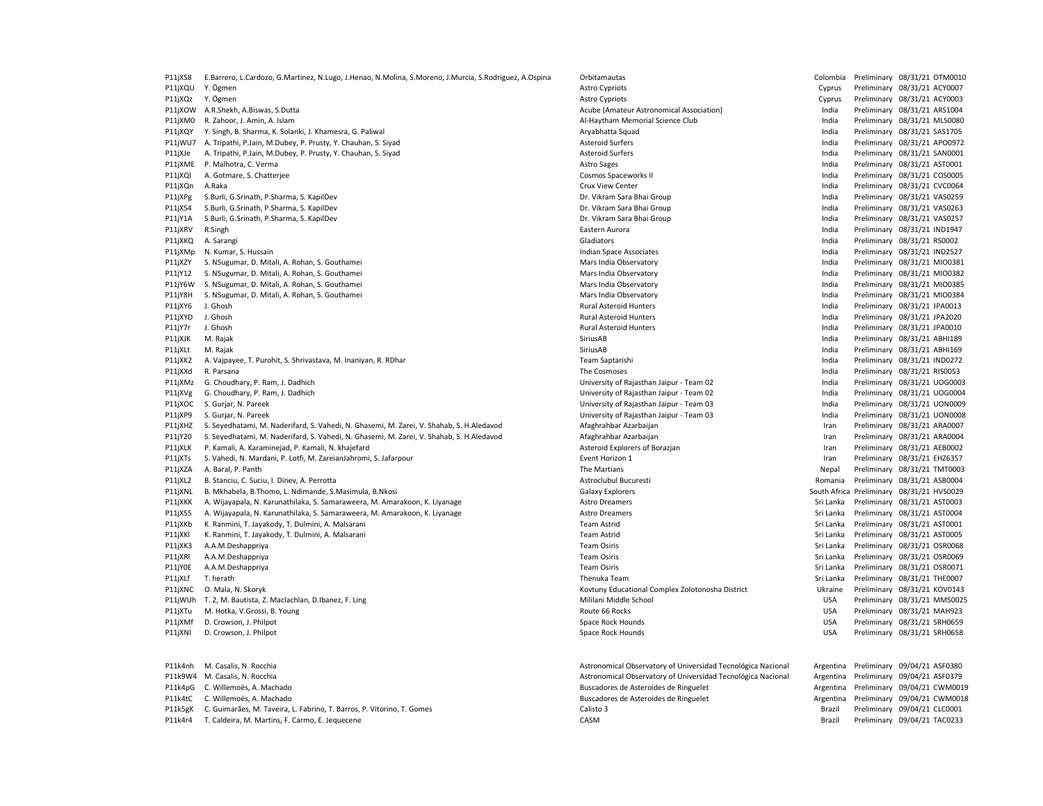P11jXS8 E.Barrero, L.Cardozo, G.Martinez, N.Lugo, J.Henao, N.Molina, S.Moreno, J.Murcia, S.Rodriguez, A.Ospina Orbitamautas Colombia Preliminary 08/31/21 OTM0010 P11jXQU Y. Ögmen en astro Cyprus Preliminary 08/31/21 ACY0007 P11jXQz Y. Ögmen en astro Cyprus Preliminary 08/31/21 ACY0003 P11iXOW A.R.Shekh. A.Biswas. S.Dutta **Acube Acube (Amateur Astronomical Association**) and a Preliminary 08/31/21 ARS1004 P11jXM0 R. Zahoor, J. Amin, A. Islam A. Islam Al-Haytham Memorial Science Club Al-Haytham Memorial Science Club<br>P11jXQY Y. Singh, B. Sharma, K. Solanki, J. Khamesra, G. Paliwal Antarea Al-Haytham Memorial Science Club Ary P11jXQY Y. Singh, B. Sharma, K. Solanki, J. Khamesra, G. Paliwal Aryabhatta Squad Aryabhatta Squad India Preliminary 08/31/21 SAS17051 P11jWU7 A. Tripathi, P.Jain, M.Dubey, P. Prusty, Y. Chauhan, S. Siyad Asteroid Surfers And Marchand Surfers and Marchand Communications of the United Surfers and Asteroid Surfers and Asteroid Surfers and Asteroid Surfers a P11jXJe A. Tripathi, P.Jain, M.Dubey, P. Prusty, Y. Chauhan, S. Siyad Asteroid Surfers Asteroid Surfers Cassetti Asteroid Surfers India Preliminary 08/31/21 SAN0001 P11jXME P. Malhotra, C. Verma **Astro Sages** Astro Sages Astro Sages Astro Sages Astro Sages Astro Sages and the Preliminary 08/31/21 AST0001 P11jXOl A. Gotmare, S. Chatteriee Cosmos Cosmos Spaceworks India Cosmos Spaceworks India Preliminary 08/31/21 COS0005 P11jXQn A.Raka Crux View Center India Preliminary 08/31/21 CVC0064 P11jXPg S.Burli, G.Srinath, P.Sharma, S. KapilDev Dr. Vikram Sara Bhai Group India Preliminary 08/31/21 VAS0259 P11jXS4 S.Burli, G.Srinath, P.Sharma, S. KapilDev Dr. Dr. Dr. Vikram Sara Bhai Group India Preliminary 08/31/21 VAS0263 P11jY1A S.Burli, G.Srinath, P.Sharma, S. KapilDev Dr. Vikram Sara Bhai Group Dr. Vikram Sara Bhai Group Dr. Vikram Sara Bhai Group India Preliminary 08/31/21 VAS0257 P11jXRV R.Singh **Eastern Aurora** Eastern Aurora **India Preliminary 08/31/21 IND1947 Eastern Aurora** Eastern Aurora P11jXKQ A. Sarangi Gladiators India Preliminary 08/31/21 RS0002 P11jXMp N. Kumar, S. Hussain **Indian Space Associates** Indian Space Associates **Indian Space Associates** India Preliminary 08/31/21 IND2527 P11jXZY S. NSugumar, D. Mitali, A. Rohan, S. Gouthamei Mars India Observatory Mars India Observatory Communication and Mars India Oriental Preliminary 08/31/21 MIO0381 P11jY12 S. NSugumar, D. Mitali, A. Rohan, S. Gouthamei Mars India Observatory Mars India Observatory Company Observatory Company Observatory India Preliminary 08/31/21 MIO0382 P11jY6W S. NSugumar, D. Mitali, A. Rohan, S. Gouthamei Mars India Observatory Mars India Observatory Fundia Preliminary 08/31/21 MIO0385 P11jY8H S. NSugumar, D. Mitali, A. Rohan, S. Gouthamei Mars India Observatory Mars India Observatory Fundia Preliminary 08/31/21 MIO0384 P11jXY6 J. Ghosh Rural Asteroid Hunters Rural Asteroid Hunters Path and a Preliminary 08/31/21 JPA0013 P11jXYD J. Ghosh Rural Asteroid Hunters India Preliminary 08/31/21 JPA2020 P11jY7r J. Ghosh Rural Asteroid Hunters India Preliminary 08/31/21 JPA0010 P11jXJK M. Rajak SiriusAB India Preliminary 08/31/21 ABHI189 P11jXLt M. Rajak SiriusAB India Preliminary 08/31/21 ABHI169 P11jXK2 A. Vajpayee, T. Purohit, S. Shrivastava, M. Inaniyan, R. RDhar Team Samush Prem Saptarishi Prem Saptarishi India Preliminary 08/31/21 IND0272<br>P11jXXd R. Parsana Preliminary 08/31/21 RIS0053 P11jXMz G. Choudhary, P. Ram, J. Dadhich University of Rajasthan Jaipur - Team 02 India Preliminary 08/31/21 UOG0003 P11jXVg G. Choudhary, P. Ram, J. Dadhich Chomana March 200004 12 10060004 12 10060004 University of Rajasthan Jaipur - Team 02 India Preliminary 08/31/21 UOG0004 P11jXOC S. Gurjar, N. Pareek University of Rajasthan Jaipur - Team 03 India Preliminary 08/31/21 UON0009 P11jXP9 S. Gurjar, N. Pareek **Paramek Paramek University of Rajasthan Jaipur - Team 03** India Preliminary 08/31/21 UON0008 P11jXHZ S. Seyedhatami, M. Naderifard, S. Vahedi, N. Ghasemi, M. Zarei, V. Shahab, S. H. Aledavod Afaghrahbar Azarbaijan Iran Preliminary 08/31/21 ARA0007 P11jY20 S. Seyedhatami, M. Naderifard, S. Vahedi, N. Ghasemi, M. Zarei, V. Shahab, S. H.Aledavod Afaghrahbar Azarbaijan Iran Preliminary 08/31/21 ARA0004 P11jXLK P. Kamali, A. Karaminejad, P. Kamali, N. khajefard Asteroid Explorers of Borazjan Asteroid Explorers of Borazjan Iran Preliminary 08/31/21 AEB0002 P11jXTs S. Vahedi, N. Mardani, P. Lotfi, M. ZareianJahromi, S. Jafarpour Event Horizon 1 Iran Preliminary 08/31/21 EHZ6357 P11jXZA A. Baral, P. Panth 2021/21 TMT0003 Panth The Martians Nepal Preliminary 08/31/21 TMT0003 P11jXL2 B. Stanciu, C. Suciu, I. Dinev, A. Perrotta Astroclubu Pucuresti Astroclubul Bucuresti Romania Preliminary 08/31/21 ASB0004 P11jXNL B. Mkhabela, B.Thomo, L. Ndimande, S.Masimula, B.Nkosi Galaxy Explorers South Africa Preliminary 08/31/21 HVS0029 P11jXKK A. Wijayapala, N. Karunathilaka, S. Samaraweera, M. Amarakoon, K. Liyanage Astro Dreamers Astro Dreamers Sri Lanka Preliminary 08/31/21 AST0003 P11jXS5 A. Wijayapala, N. Karunathilaka, S. Samaraweera, M. Amarakoon, K. Liyanage Astro Dreamers Astro Dreamers Camers Sri Lanka Preliminary 08/31/21 AST0004 P11jXKb K. Ranmini, T. Jayakody, T. Dulmini, A. Malsarani Team Team Astrid Team Astrid Sri Lanka Preliminary 08/31/21 AST0001 P11jXKl K. Ranmini, T. Jayakody, T. Dulmini, A. Malsarani Team Team Astrid Team Astrid Sri Lanka Preliminary 08/31/21 AST0005 P11jXK3 A.A.M.Deshappriya Team Osiris Sri Lanka Preliminary 08/31/21 OSR0068 P11jXRl A.A.M.Deshappriya Team Osiris Sri Lanka Preliminary 08/31/21 OSR0069 P11jY0E A.A.M.Deshappriya **Team Disk and Alberta Constant Constant Constant Constant Constant Constant Constant Constant Constant Constant Constant Constant Constant Constant Constant Constant Constant Constant Constant Co** P11jXLf T. herath Thenuka Team Sri Lanka Preliminary 08/31/21 THE0007 P11jXNC O. Mala, N. Skoryk **Mala and Ala and Ala and Ala and Ala and Ala and Ala and Ala and Ala and Ala and Ala and Ala and Ala and Ala and Ala and Ala and Ala and Ala and Ala and Ala and Ala and Ala and Ala and Ala and A** P11jWUh T. 2, M. Bautista, Z. Maclachlan, D.Ibanez, F. Ling Mililani Mililani Mililani Mililani Middle School Mililani Middle School USA Preliminary 08/31/21 MMS0025 P11jXTu M. Hotka, V.Grossi, B. Young examples and the second term of the Same Route 66 Rocks of the Same Hotel School and the School and the School and the School and the School and the School and the School and the School P11jXMf D. Crowson, J. Philpot November 2001 10:00 10:00 Space Rock Hounds Space Rock Hounds USA Preliminary 08/31/21 SRH0659 P11jXNl D. Crowson, J. Philpot Charles Space Rock Hounds Space Rock Hounds Space Rock Hounds USA Preliminary 08/31/21 SRH0658 P11k4nh M. Casalis, N. Rocchia Astronomical Observatory of Universidad Tecnológica Nacional Argentina Preliminary 09/04/21 ASF0380 P11k9W4 M. Casalis, N. Rocchia **Astronomical Observatory of Universidad Tecnológica Nacional Argentina Preliminary 09/04/21 ASF0379** 

P11k4pG C. Willemoës, A. Machado **Buscaul Communisties and Argentina Preliminary 09/04/21 CWM0019** Buscadores de Asteroides de Ringuelet Argentina Preliminary 09/04/21 CWM0019 P11k4tC C. Willemoës, A. Machado **Buscaul Community Community Community** Buscadores de Asteroides de Ringuelet Argentina Preliminary 09/04/21 CWM0018 P11k5gK C. Guimarães, M. Taveira, L. Fabrino, T. Barros, P. Vitorino, T. Gomes Calisto 3 Brazil Preliminary 09/04/21 CLC0001 P11k4r4 T. Caldeira, M. Martins, F. Carmo, E. Jequecene CASM Brazil Preliminary 09/04/21 TAC0233

Preliminary 08/31/21 RIS0053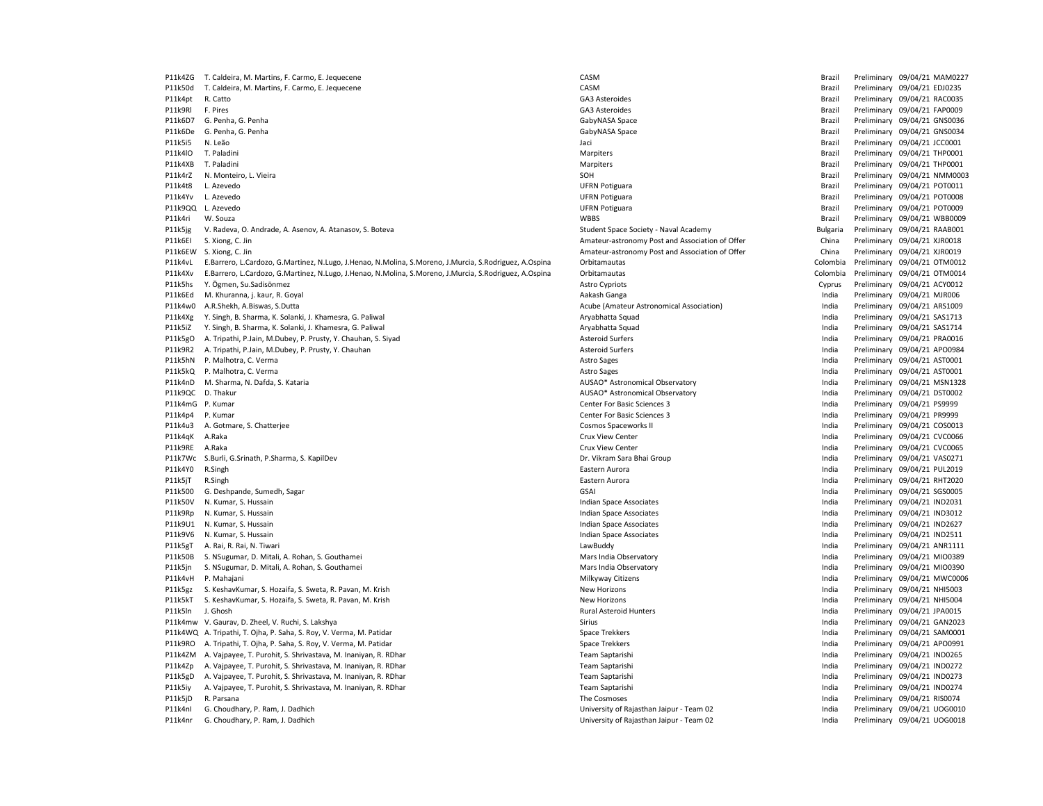P11k4ZG T. Caldeira, M. Martins, F. Carmo, E. Jequecene CASM Brazil Preliminary 09/04/21 MAM0227 P11k50d T. Caldeira, M. Martins, F. Carmo, E. Jequecene CASM CASM CASM CASM Brazil Preliminary 09/04/21 EDJ0235 P11k4pt R. Catto **Catto Catto Catto Case and Case Asteroides** CA3 Asteroides CA3 Asteroides CA3 Asteroides CA3 Asteroides CA3 Asteroides CA3 Asteroides CA3 Asteroides CA3 Asteroides CA3 Asteroides CA3 Asteroides CA3 Astero P11k9Rl F. Pires GA3 Asteroides Brazil Preliminary 09/04/21 FAP0009 P11k6D7 G. Penha, G. Penha GabyNASA Space Space and Description of the Brazil Preliminary 09/04/21 GNS0036 P11k6De G. Penha, G. Penha energy and the state of the Share GabyNASA Space and the Share Brazil Preliminary 09/04/21 GNS0034 P11k5i5 N. Leão **Parade de 2000 e 12 de aproximentação de 2010** de 1912 de 1920 de 1920 de 1920 de 1920 de 1920 de 1920 de 1920 de 1920 de 1920 de 1920 de 1920 de 1920 de 1920 de 1920 de 1920 de 1920 de 1920 de 1920 de 192 P11k4lO T. Paladini **Marpiters and Marpiters** Marpiters **Marpiters** Brazil Preliminary 09/04/21 THP0001 P11k4XB T. Paladini **Marpiters and Marpiters** Marpiters **Marpiters** Brazil Preliminary 09/04/21 THP0001 P11k4rZ N. Monteiro, L. Vieira SOH Brazil Preliminary 09/04/21 NMM0003 P11k4t8 L. Azevedo UFRN Potiguara Brazil Preliminary 09/04/21 POT0011 P11k4Yv L. Azevedo UFRN Potiguara Brazil Preliminary 09/04/21 POT0008 P11k9QQ L. Azevedo UFRN Potiguara Brazil Preliminary 09/04/21 POT0009 P11k4ri W. Souza WBBS Brazil Preliminary 09/04/21 WBB0009 P11k5jg V. Radeva, O. Andrade, A. Asenov, A. Atanasov, S. Boteva Student Space Society - Naval Academy Student Space Society - Naval Academy Student Space Society - Naval Academy Bulgaria Preliminary 09/04/21 RAAB001 P11k6EI S. Xiong, C. Jin China Preliminary 09/04/21 XJR0018 P11k6EW S. Xiong, C. Jin China Preliminary 09/04/21 XJR0019 November 2012 12:00:00 Amateur-astronomy Post and Association of Offer China Preliminary 09/04/21 XJR0019 P11k4vL E.Barrero, L.Cardozo, G.Martinez, N.Lugo, J.Henao, N.Molina, S.Moreno, J.Murcia, S.Rodriguez, A.Ospina Orbitamautas Colombia Preliminary 09/04/21 OTM0012 P11k4Xv E.Barrero, L.Cardozo, G.Martinez, N.Lugo, J.Henao, N.Molina, S.Moreno, J.Murcia, S.Rodriguez, A.Ospina Orbitamautas Chinamautas Colombia Preliminary 09/04/21 OTM0014 P11k5hs Y. Ögmen, Su.Sadisönmez etter astro astro Cypriots and Astro Cypriots Cyprus Preliminary 09/04/21 ACY0012 P11k6Ed M. Khuranna, j. kaur, R. Goyal **M. Aakash Aakash Ganga** Aakash Ganga **India Preliminary 09/04/21 MJR006** P11k4w0 A.R.Shekh, A.Biswas, S.Dutta **Acube 1999** Acube (Amateur Astronomical Association) **Preliminary 09/04/21 ARS1009** P11k4Xg Y. Singh, B. Sharma, K. Solanki, J. Khamesra, G. Paliwal Aryabhatta Squad Aryabhatta Squad **India Preliminary 09/04/21 SAS1713** P11k5iZ Y. Singh, B. Sharma, K. Solanki, J. Khamesra, G. Paliwal Aryabhatta Squad Aryabhatta Squad Aryabhatta Squad Aryabhatta Squad India Preliminary 09/04/21 SAS1714 P11k5gO A. Tripathi, P.Jain, M.Dubey, P. Prusty, Y. Chauhan, S. Siyad Asteroid Surfers Asteroid Surfers Asteroid Surfers and the state of the control of the Preliminary 09/04/21 PRA0016 P11k9R2 A. Tripathi, P.Jain, M.Dubey, P. Prusty, Y. Chauhan Asteroid Surfers Asteroid Surfers Camera Asteroid Surfers Camera Asteroid Surfers and Asteroid Surfers and Asteroid Surfers and Asteroid Surfers and Asteroid Surf P11k5hN P. Malhotra, C. Verma and the second the second term of the second of the second and the second of the second astro Sages and the second of the second of the second of the second astro Sages and the second and the P11k5kQ P. Malhotra, C. Verma (9/04/21 AST0001 19/04/21 AST0001 12: 2012) Astro Sages Astro Sages and Astro Sages and Astro Sages and Astro Sages and the method of the method of the method of the method of the method of th P11k4nD M. Sharma, N. Dafda, S. Kataria New York New York New York New York New York New York New York New York<br>P11k9OC D. Thakur New York New York New York New York New York New York New York New York New York New York Ne P11k9QC D. Thakur Newslett Material Description of the Material Observatory of the Material Observatory of the Material Observatory of the Preliminary 09/04/21 DST0002<br>P11k4mG P. Kumar O9/04/21 PS9999 P11k4p4 P. Kumar Maxweller Express 2 Center For Basic Sciences 3 Center For Basic Sciences 3 Preliminary 09/04/21 PR9999 P11k4u3 A. Gotmare, S. Chatteriee Cosmos Cosmos Spaceworks India Preliminary 09/04/21 COS0013 P11k4qK A.Raka Crux View Center India Preliminary 09/04/21 CVC0066 P11k9RE A.Raka **Crux View Center** Crux View Center **Crux View Center** Crux View Center **India** Preliminary 09/04/21 CVC0065 P11k7Wc S.Burli, G.Srinath, P.Sharma, S. KapilDev Dr. Dr. Dr. Vikram Sara Bhai Group India Preliminary 09/04/21 VAS0271 P11k4Y0 R.Singh Eastern Aurora India Preliminary 09/04/21 PUL2019 P11k5jT R.Singh Eastern Aurora India Preliminary 09/04/21 RHT2020 P11k500 G. Deshpande, Sumedh, Sagar Sagar Sagar Sagar Sagar Sagar Sagar Sagar Sagar Sagar Sagar Sagar Sagar Sagar Sagar Sagar Sagar Sagar Sagar Sagar Sagar Sagar Sagar Sagar Sagar Sagar Sagar Sagar Sagar Sagar Sagar Sagar P11k50V N. Kumar, S. Hussain Samus and March 2003 and Space Associates and the second method of the control of the control of the control of the control of the control of the control of the control of the control of the co P11k9Rp N. Kumar, S. Hussain Samus and March 2012 and Space Associates and the second method of the control of the control of the control of the control of the control of the control of the control of the control of the co P11k9U1 N. Kumar, S. Hussain Samus and March 2004/21 IND2627 November 2012 10:30 Page Associates and March 2004/21 IND2627 IND2627 P11k9V6 N. Kumar, S. Hussain **Indian Space Associates** Indian Space Associates Indian Space Associates India Preliminary 09/04/21 IND2511 P11k5gT A. Rai, R. Rai, N. Tiwari LawBuddy India Preliminary 09/04/21 ANR1111 P11k50B S. NSugumar, D. Mitali, A. Rohan, S. Gouthamei Mars India Observatory Mars India Observatory Communication and Mars India Oriental Preliminary 09/04/21 MIO0389 P11k5jn S. NSugumar, D. Mitali, A. Rohan, S. Gouthamei Mars India Observatory Mars India Observatory Fundia Preliminary 09/04/21 MIO0390 P11k4vH P. Mahajani Nahajani Milkyway Citizens Milkyway Citizens Milkyway Citizens and the media Preliminary 09/04/21 MWC0006 P11k5gz S. KeshavKumar, S. Hozaifa, S. Sweta, R. Pavan, M. Krish New Horizons New Horizons New Horizons New Horizons New Horizons India Preliminary 09/04/21 NHI5003 P11k5kT S. KeshavKumar, S. Hozaifa, S. Sweta, R. Pavan, M. Krish New Horizons New Horizons New Horizons New Horizons New Horizons India Preliminary 09/04/21 NHI5004 P11k5ln J. Ghosh Rural Asteroid Hunters India Preliminary 09/04/21 JPA0015 P11k4mw V. Gaurav, D. Zheel, V. Ruchi, S. Lakshya Sirius Sirius Sirius Sirius Sirius India Preliminary 09/04/21 GAN2023 P11k4WQ A. Tripathi, T. Ojha, P. Saha, S. Roy, V. Verma, M. Patidar Space Trekkers Space Trekkers Space Trekkers Space Trekkers Space Trekkers Space Trekkers and the United Space Tresh and Dreliminary 09/04/21 SAM0001 P11k9RO A. Tripathi, T. Ojha, P. Saha, S. Roy, V. Verma, M. Patidar Space Trekkers Space Trekkers Space Trekkers Space Trekkers Space Trekkers Space Trekkers and the United Space Treathers and the United Space Treathers an P11k4ZM A. Vajpayee, T. Purohit, S. Shrivastava, M. Inaniyan, R. RDhar Team Saptarishi Team Saptarishi India Preliminary 09/04/21 IND0265 P11k4Zp A. Vajpayee, T. Purohit, S. Shrivastava, M. Inaniyan, R. RDhar Team Saptarishi India Preliminary 09/04/21 IND0272 P11k5gD A. Vajpayee, T. Purohit, S. Shrivastava, M. Inaniyan, R. RDhar Team Saptarishi India Preliminary 09/04/21 IND0273 P11k5iy A. Vajpayee, T. Purohit, S. Shrivastava, M. Inaniyan, R. RDhar Team Saptarishi India Preliminary 09/04/21 IND0274 P11k5jD R. Parsana **The Cosmoses** The Cosmoses The Cosmoses The Cosmoses and the Cosmoses and the Cosmoses and the Cosmoses and the Cosmoses and the Cosmoses and the Cosmoses and the Cosmoses and the Cosmoses and the Cosmo P11k4nI G. Choudhary, P. Ram, J. Dadhich University of Rajasthan Jaipur - Team 02 India Preliminary 09/04/21 UOG0010 P11k4nr G. Choudhary, P. Ram, J. Dadhich University of Rajasthan Jaipur - Team 02 India Preliminary 09/04/21 University of Rajasthan Jaipur - Team 02

India Preliminary 09/04/21 PS9999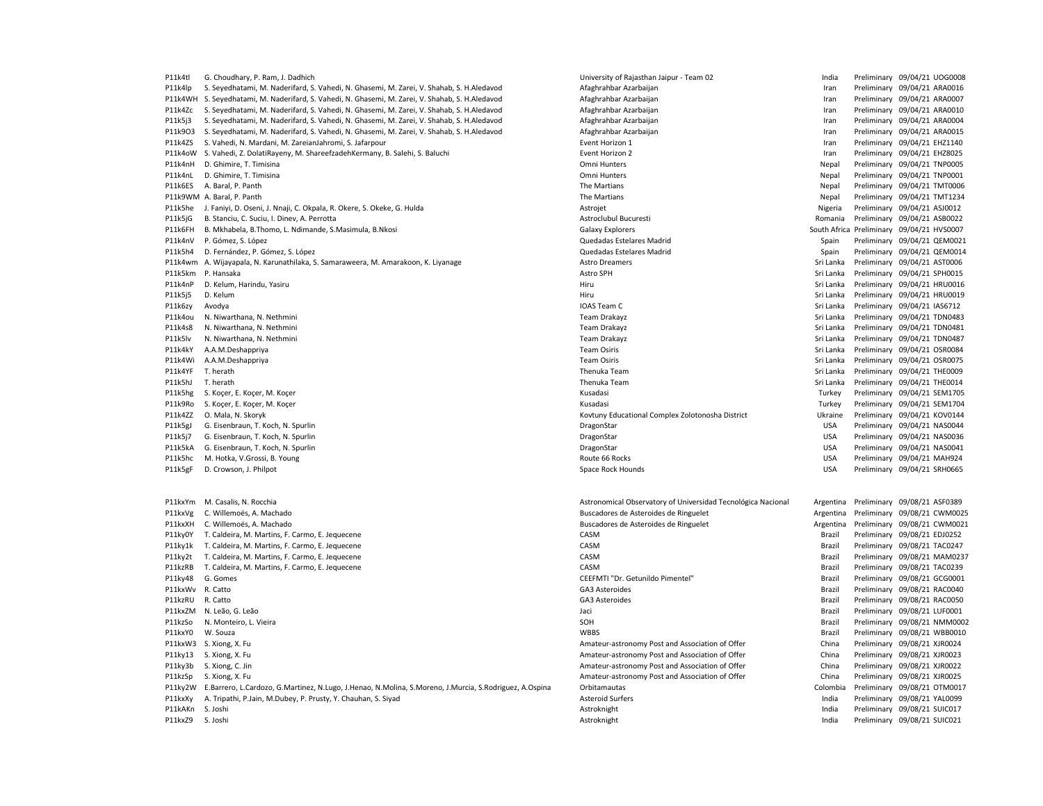P11k4tl G. Choudhary, P. Ram, J. Dadhich Choudhary, D. Rajashan Jaipur - Team 02 India Preliminary 09/04/21 UOG0008 P11k4lp S. Seyedhatami, M. Naderifard, S. Vahedi, N. Ghasemi, M. Zarei, V. Shahab, S. H.Aledavod Afaghrahbar Azarbaijan Preliminary 09/04/21 ARA0016 P11k4WH S. Seyedhatami, M. Naderifard, S. Vahedi, N. Ghasemi, M. Zarei, V. Shahab, S. H.Aledavod Afaghrahbar Azarbaijan Iran Preliminary 09/04/21 ARA0007 P11k4Zc S. Seyedhatami, M. Naderifard, S. Vahedi, N. Ghasemi, M. Zarei, V. Shahab, S. H.Aledavod Afaghrahbar Azarbaijan Preliminary 09/04/21 ARA0010 P11k5j3 S. Seyedhatami, M. Naderifard, S. Vahedi, N. Ghasemi, M. Zarei, V. Shahab, S. H. Aledavod and Afaghrahbar Azarbaijan and and the mediaminary 09/04/21 ARA0004<br>P11k903 S. Seyedhatami, M. Naderifard, S. Vahedi, N. Gha P11k9O3 S. Seyedhatami, M. Naderifard, S. Vahedi, N. Ghasemi, M. Zarei, V. Shahab, S. H.Aledavod Afaghrahbar Azarbaijan Iran Preliminary 09/04/21 Aran Preliminary 09/04/21 ARA00151 ARA00151 ARA00151 ARA00151 ARA00151 ARA00 P11k4ZS S. Vahedi, N. Mardani, M. ZareianJahromi, S. Jafarpour examence experiment and the examence of the event Horizon 1 and the event Horizon 1 and the event Horizon 1 and the event Horizon 1 and the event Horizon 1 and P11k4oW S. Vahedi, Z. DolatiRayeny, M. ShareefzadehKermany, B. Salehi, S. Baluchi Event Horizon 2 Iran Preliminary 09/04/21 EHZ8025 P11k4nH D. Ghimire, T. Timisina **Participal According to the Connect According Connect According Connect According Connect According Omni Hunters Connect According Preliminary 09/04/21 TNP0005** P11k4nL D. Ghimire, T. Timisina **Parameters Nepal Preliminary 09/04/21 TNP0001** P11k6ES A. Baral, P. Panth The Martians Nepal Preliminary 09/04/21 TMT0006 P11k9WM A. Baral, P. Panth 2014/21 TMT1234 (Partians The Martians Nepal Preliminary 09/04/21 TMT1234 P11k5he J. Faniyi, D. Oseni, J. Nnaji, C. Okpala, R. Okere, S. Okeke, G. Hulda Astrojet Nigeria Preliminary 09/04/21 ASJ0012 P11k5jG B. Stanciu, C. Suciu, I. Dinev, A. Perrotta Astroclubul Bucuresti Romania Preliminary 09/04/21 ASB0022 P11k6FH B. Mkhabela, B.Thomo, L. Ndimande, S.Masimula, B.Nkosi Galaxy Explorers South Africa Preliminary 09/04/21 HVS0007 P11k4nV P. Gómez, S. López en el estelares Madrid Cuedadas Estelares Madrid Spain Preliminary 09/04/21 QEM0021 P11k5h4 D. Fernández, P. Gómez, S. López Charles Charles Charles Charles Charles Charles Charles Charles Charles Charles Charles Charles Charles Charles Charles Spain Preliminary 09/04/21 QEM0014 P11k4wm A. Wijayapala, N. Karunathilaka, S. Samaraweera, M. Amarakoon, K. Liyanage Astro Dreamers Astro Dreamers Communication and the Sri Lanka Preliminary 09/04/21 AST0006 P11k5km P. Hansaka **Astro SPH** Sri Lanka Preliminary 09/04/21 SPH0015 P11k4nP D. Kelum, Harindu, Yasiru Nasiru Samud Mashindu, Yasiru Sri Lanka Preliminary 09/04/21 HRU0016 P11k5j5 D. Kelum Sri Lanka Preliminary 09/04/21 HRU0019 Niru Sri Lanka Preliminary 09/04/21 HRU0019 P11k6zy Avodya **Ioadya** IOAS Team C Sri Lanka Preliminary 09/04/21 IAS6712 P11k4ou N. Niwarthana, N. Nethmini enterthe serves and the serves of the Sri Lanka Preliminary 09/04/21 TDN0483 P11k4s8 N. Niwarthana, N. Nethmini Channel States and States and Team Drakayz Team Drakayz Sri Lanka Preliminary 09/04/21 TDN0481 P11k5lv N. Niwarthana, N. Nethmini enterthe serves and the serves of the Sri Lanka Preliminary and the Sri Lanka Preliminary 09/04/21 TDN0487 P11k4kY A.A.M.Deshappriya Team Osiris Sri Lanka Preliminary 09/04/21 OSR0084 P11k4Wi A.A.M.Deshappriya shidhan a shidhan a shidhan a tacsachadh ann an t-am Osiris Sri Lanka Preliminary 09/04/21 OSR0075<br>P11k4YF T.herath Preliminary 09/04/21 THE0009 P11k4YF T.herath Osiris Sri Lanka Preliminary 09/04 P11k4YF T. herath Thenuka Team Sri Lanka Preliminary 09/04/21 THE0009 P11k5hg S. Koçer, E. Koçer, M. Koçer Kusadasi Turkey Preliminary 09/04/21 SEM1705 P11k9Ro S. Koçer, E. Koçer, M. Koçer Casar Entre Kusadasi Casar Kusadasi Kusadasi Turkey Preliminary 09/04/21 SEM1704 P11k4ZZ O. Mala, N. Skoryk Kovtuny Educational Complex Zolotonosha District Ukraine Preliminary 09/04/21 KOV0144 P11k5gJ G. Eisenbraun, T. Koch, N. Spurlin NaSOO44 Companies Companies and DragonStar DragonStar DragonStar DragonStar USA Preliminary 09/04/21 NASOO44 P11k5j7 G. Eisenbraun, T. Koch, N. Spurlin NaSOO36 Company of the Company of the Company of the Company of the Company of the Company of the Company of the Company of the Company of the Company of the Company of the Compan P11k5kA G. Eisenbraun, T. Koch, N. Spurlin NaSOO41 NASOO41 Channel DragonStar DragonStar DragonStar USA Preliminary 09/04/21 NASOO41 P11k5hc M. Hotka, V.Grossi, B. Young National Route 66 Rocks Network Route 66 Rocks Network and National Material Control of Preliminary 09/04/21 MAH924 P11k5gF D. Crowson, J. Philpot North Space Rock Hounds Space Rock Hounds Space Rock Hounds USA Preliminary 09/04/21 SRH0665 P11kxYm M. Casalis, N. Rocchia Astronomical Observatory of Universidad Tecnológica Nacional Argentina Preliminary 09/08/21 ASF0389 P11kxVg C. Willemoës, A. Machado **Buscadores de Asteroides de Asteroides de Asteroides de Argentina Preliminary 09/08/21 CWM0025** P11kxXH C. Willemoës, A. Machado **Buscadores de Asteroides de Asteroides de Asteroides de Argentina Preliminary 09/08/21 CWM0021** P11ky0Y T. Caldeira, M. Martins, F. Carmo, E. Jequecene CASM CASM CASM CASM Brazil Preliminary 09/08/21 EDJ0252 P11ky1k T. Caldeira, M. Martins, F. Carmo, E. Jequecene CASM Brazil Preliminary 09/08/21 TAC0247 P11ky2t T. Caldeira, M. Martins, F. Carmo, E. Jequecene CASM Brazil Preliminary 09/08/21 MAM0237 P11kzRB T. Caldeira, M. Martins, F. Carmo, E. Jequecene CASM Brazil Preliminary 09/08/21 TAC0239 P11ky48 G. Gomes examples and the comparison of CEEFMTI "Dr. Getunildo Pimentel" Brazil Preliminary 09/08/21 GCG0001 P11kxWv R. Catto GA3 Asteroides Brazil Preliminary 09/08/21 RAC0040 P11kzRU R. Catto GA3 Asteroides Brazil Preliminary 09/08/21 RAC0050 P11kxZM N. Leão, G. Leão **De Alexander Accepto Accepto Accepto Accepto Accepto Accepto Accepto Accepto Accepto Accepto Accepto Accepto Accepto Accepto Accepto Accepto Accepto Accepto Accepto Accepto Accepto Accepto Accepto** P11kzSo N. Monteiro, L. Vieira SOH Brazil Preliminary 09/08/21 NMM0002 P11kxY0 W. Souza examples and the set of the set of the set of the set of the set of the set of the set of the set of the set of the set of the set of the set of the set of the set of the set of the set of the set of the s P11kxW3 S. Xiong, X. Fu China Preliminary 09/08/21 XJR0024 P11ky13 S. Xiong, X. Fu China Preliminary 09/08/21 XJR0023 P11ky3b S. Xiong, C. Jin China Preliminary 09/08/21 XJR0022 P11kzSp S. Xiong, X. Fu China Preliminary 09/08/21 XJR0025 P11ky2W E.Barrero, L.Cardozo, G.Martinez, N.Lugo, J.Henao, N.Molina, S.Moreno, J.Murcia, S.Rodriguez, A.Ospina Orbitamautas Colombia Preliminary 09/08/21 OTM0017 P11kxXy A. Tripathi, P.Jain, M.Dubey, P. Prusty, Y. Chauhan, S. Siyad Asteroid Surfers Asteroid Surfers Communication and Preliminary 09/08/21 YAL0099 P11kAKn S. Joshi Astroknight India Preliminary 09/08/21 SUIC017

Poliminary 09/04/21 THE0014 Thenuka Team Sri Lanka Preliminary 09/04/21 THE0014<br>Preliminary 09/04/21 SEM1705

Astroknight **P121konight India** Preliminary 09/08/21 SUIC021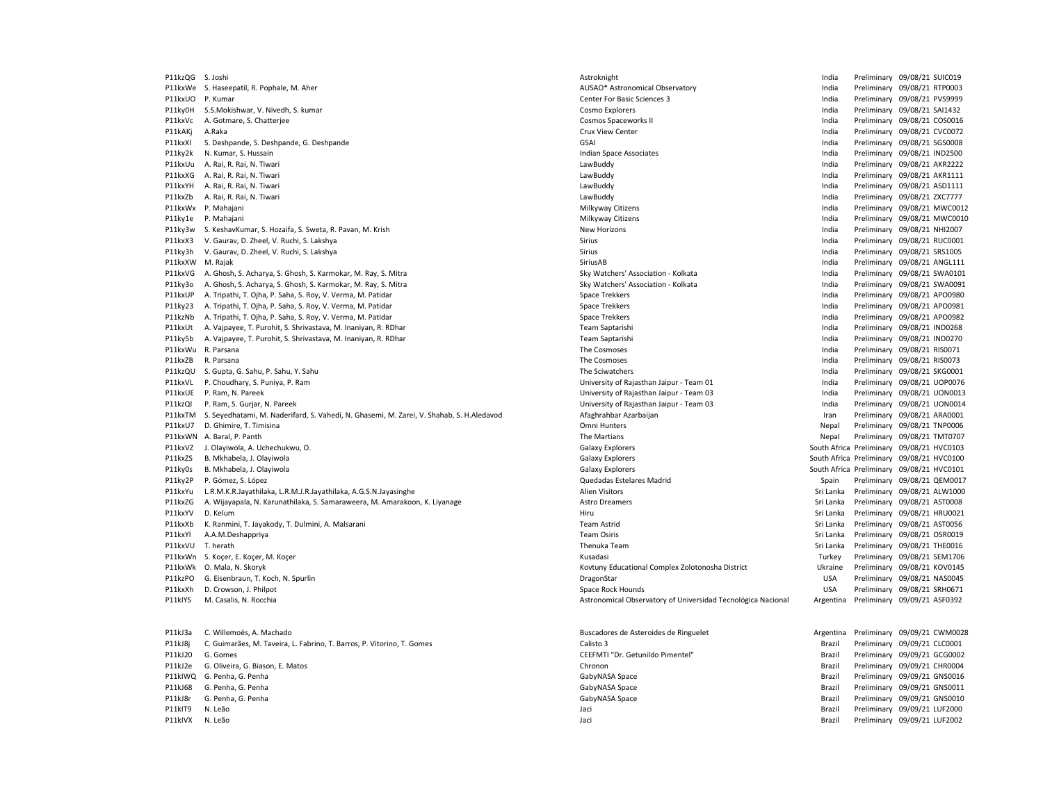P11kxVL P. Choudhary, S. Puniya, P. Ram<br>P11kxUE P. Ram, N. Pareek P11kJ68 G. Penha, G. Penha Brazil Preliminary 09/09/21 GNS0011 P11kJ8r G. Penha, G. Penha **Brazil Preliminary 09/09/21 GNS0010** CabyNASA Space Grazil Preliminary 09/09/21 GNS0010 P11kIT9 N. Leão Jaci Brazil Preliminary 09/09/21 LUF2000

P11kzQG S.Joshi **Astroknight** Astroknight Astroknight India Preliminary 09/08/21 SUIC019 P11kxWe S. Haseepatil, R. Pophale, M. Aher **AUSAO assumes a Company and AUSAO\*** Astronomical Observatory **P11kxWe S. Haseepatil, R. Pophale, M. Aher** Australiany 09/08/21 RTP0003 P11kxUO P. Kumar Center For Basic Sciences 3 Center For Basic Sciences 3 Center For Basic Sciences 3 India Preliminary 09/08/21 PVS9999 P11ky0H S.S.Mokishwar, V. Nivedh, S. kumar Cosmo Cosmo Explorers Cosmo Explorers Cosmo Explorers Cosmo Explorers Cosmo Explorers India Preliminary 09/08/21 SAI1432 P11kxVc A. Gotmare, S. Chatteriee Cosmos Cosmos Spaceworks India Cosmos Spaceworks II Cosmos Spaceworks II India Preliminary 09/08/21 COS0016 P11kAKj A.Raka Crux View Center India Preliminary 09/08/21 CVC0072 P11kxXl S. Deshpande, S. Deshpande, G. Deshpande GSAI Company of the Sanctic Company of the SAI Company of the SAI Company of the SAI Company of the SAI Company of the SAI Company of the SAI Company of the SAI Company of t P11ky2k N. Kumar, S. Hussain Indian Space Associates India Preliminary 09/08/21 IND2500 P11kxUu A. Rai, R. Rai, N. Tiwari LawBuddy India Preliminary 09/08/21 AKR2222 P11kxXG A. Rai, R. Rai, N. Tiwari LawBuddy India Preliminary 09/08/21 AKR1111 P11kxYH A. Rai, R. Rai, N. Tiwari LawBuddy India Preliminary 09/08/21 ASD1111 P11kxZb A. Rai, R. Rai, N. Tiwari LawBuddy India Preliminary 09/08/21 ZXC7777 P11kxWx P. Mahajani **Philkyway Citizens** Milkyway Citizens Milkyway Citizens **Participal Preliminary 09/08/21 MWC0012** P11ky1e P. Mahajani **Participalis and Citizens** Milkyway Citizens Milkyway Citizens and the material preliminary 09/08/21 MWC0010 P11ky3w S. KeshavKumar, S. Hozaifa, S. Sweta, R. Pavan, M. Krish New Horizons New Horizons New Horizons New Horizons New Horizons India Preliminary 09/08/21 NHI2007 P11kxX3 V. Gaurav, D. Zheel, V. Ruchi, S. Lakshya Sirius Sirius Sirius Sirius India Preliminary 09/08/21 RUC0001 P11ky3h V. Gaurav, D. Zheel, V. Ruchi, S. Lakshya Shanka Sirius Sirius Sirius Sirius India Preliminary 09/08/21 SRS1005 P11kxXW M. Rajak SiriusAB India Preliminary 09/08/21 ANGL111 P11kxVG A. Ghosh, S. Acharya, S. Ghosh, S. Karmokar, M. Ray, S. Mitra Sky Watchers' Association - Kolkata India Preliminary 09/08/21 SWA0101 P11ky3o A. Ghosh, S. Acharya, S. Ghosh, S. Karmokar, M. Ray, S. Mitra Sky Watchers' Association - Kolkata India Preliminary 09/08/21 SWA0091 P11kxUP A. Tripathi, T. Ojha, P. Saha, S. Roy, V. Verma, M. Patidar Space Trekkers Space Trekkers Space Trekkers Space Trekkers Space Trekkers Space Trekkers and the United Preliminary 09/08/21 APO0980 P11ky23 A. Tripathi, T. Ojha, P. Saha, S. Roy, V. Verma, M. Patidar Space Trekkers Space Trekkers Space Trekkers Space Trekkers Space Trekkers Space Trekkers and the United Space Treathers and the United Space Treathers an P11kzNb A. Tripathi, T. Ojha, P. Saha, S. Roy, V. Verma, M. Patidar Space Trekkers Space Trekkers Space Trekkers Space Trekkers Space Trekkers Space Trekkers and the United Preliminary 09/08/21 APO0982 P11kxUt A. Vajpayee, T. Purohit, S. Shrivastava, M. Inaniyan, R. RDhar Team Saptarishi India Preliminary 09/08/21 IND0268 P11ky5b A. Vaipayee, T. Purohit, S. Shrivastava, M. Inaniyan, R. RDhar Team Saptarishi India Preliminary 09/08/21 IND0270 P11kxWu R. Parsana entertainment of the Cosmoses of the Cosmoses and the Cosmoses and the Cosmoses and the Cosmoses of the Cosmoses and the Cosmoses and the Cosmoses of the Cosmoses of the Cosmoses and the Cosmoses of the P11kxZB R. Parsana India Preliminary 09/08/21 RIS0073<br>P11kzQU S. Gupta, G. Sahu, P. Sahu, Y. Sahu N. Sahu N. Sahu N. Sahu N. Sahu N. Sahu N. Sahu, P. Sahu, P. Sahu, M. Sahu N. Sahu N. Sahu N. Sahu N. Sahu N. Sahu N. Sahu N P11kzQU S. Gupta, G. Sahu, P. Sahu, Y. Sahu The Steven Steven Schware of The Sciwatchers The Sciwatchers The Sciwatchers India Preliminary 09/08/21 SKG0001<br>P11kxVL P. Choudhary, S. Puniya, P. Ram Steven Steven Steven Steve P11kxUE P. Ram, N. Pareek University of Rajasthan Jaipur - Team 03 India Preliminary 09/08/21 UON0013 P11kzQl P. Ram, S. Gurjar, N. Pareek University of Rajasthan Jaipur - Team 03 India Preliminary 09/08/21 UON0014 P11kxTM S. Seyedhatami, M. Naderifard, S. Vahedi, N. Ghasemi, M. Zarei, V. Shahab, S. H.Aledavod Afaghrahbar Azarbaijan Afaghrahbar Azarbaijan Iran Preliminary 09/08/21 ARA0001<br>P11kx117 D. Ghimire T. Timisina 199/08/21 TNP P11kxu7 D. Ghimire, T. Chimire, T. Chimire, T. Chimire, T. Timisina O. Timisina O. Ghimire, T. Theorem 2016, 20 P11kxWN A. Baral, P. Panth Panth A. Baral, P. Panth Panth A. Baral, P. Panth A. Baral, P. Panth Preliminary 09/08/21 TMT0707 P11kxVZ J. Olayiwola, A. Uchechukwu, O. Channel Company Company Collective Calaxy Explorers and Company Company Company Company Company Company Company Company Company Company Company Company Company Company Company Compan Galaxy Explorers **P111km** Galaxy Explorers South Africa Preliminary 09/08/21 HVC0100 P11ky0s B. Mkhabela, J. Olayiwola Charles South Africa Preliminary 09/08/21 HVC0101 P11ky2P P. Gómez, S. López Quedadas Estelares Madrid Spain Preliminary 09/08/21 QEM0017 P11kxYu L.R.M.K.R.Jayathilaka, L.R.M.J.R.Jayathilaka, A.G.S.N.Jayasinghe Alien Visitors Sri Lanka Preliminary 09/08/21 ALW1000 P11kxZG A. Wijayapala, N. Karunathilaka, S. Samaraweera, M. Amarakoon, K. Liyanage Astro Dreamers Astro Dreamers Sri Lanka Preliminary 09/08/21 AST0008 P11kxYV D. Kelum Nellem Nellem Hiru Sri Lanka Preliminary 09/08/21 HRU0021 P11kxXb K. Ranmini, T. Jayakody, T. Dulmini, A. Malsarani Team Team Astrid Team Astrid Sri Lanka Preliminary 09/08/21 AST0056 P11kxYl A.A.M.Deshappriya Team Osiris Sri Lanka Preliminary 09/08/21 OSR0019 P11kxVU T. herath Thenuka Team Sri Lanka Preliminary 09/08/21 THE0016 P11kxWn S. Kocer, E. Kocer, M. Kocer Communication and the State of Turkey Preliminary OS/08/21 SEM1706 P11kxWk O. Mala, N. Skoryk Kovtuny Educational Complex Zolotonosha District Ukraine Preliminary 09/08/21 KOV0145 P11kzPO G. Eisenbraun, T. Koch, N. Spurlin et al. et al. et al. et al. et al. et al. et al. et al. et al. et al. et al. et al. et al. et al. et al. et al. et al. et al. et al. et al. et al. et al. et al. et al. et al. et a P11kxXh D. Crowson, J. Philpot Channel Space Rock Hounds Space Rock Hounds Space Rock Hounds USA Preliminary 09/08/21 SRH0671 P11kIYS M. Casalis, N. Rocchia Astronomical Observatory of Universidad Tecnológica Nacional Argentina Preliminary 09/09/21 ASF0392 P11kJ3a C. Willemoës, A. Machado **Buscaul Carachores de Asteroides de Asteroides de Ringuelet** Argentina Preliminary 09/09/21 CWM0028 P11kJ8j C. Guimarães, M. Taveira, L. Fabrino, T. Barros, P. Vitorino, T. Gomes Calisto 3 Calisto 3 Brazil Preliminary 09/09/21 CLC0001 P11kJ20 G. Gomes CEEFMTI "Dr. Getunildo Pimentel" Brazil Preliminary 09/09/21 GCG0002 P11kJ2e G. Oliveira, G. Biason, E. Matos Chronon Brazil Preliminary 09/09/21 CHR0004 P11kIWQ G. Penha, G. Penha **Brazil Preliminary 09/09/21 GNS0016** CabyNASA Space Grazil Preliminary 09/09/21 GNS0016

Philadel Anti-Charles and Charles and Charles Brazil Preliminary 09/09/21 LUF2002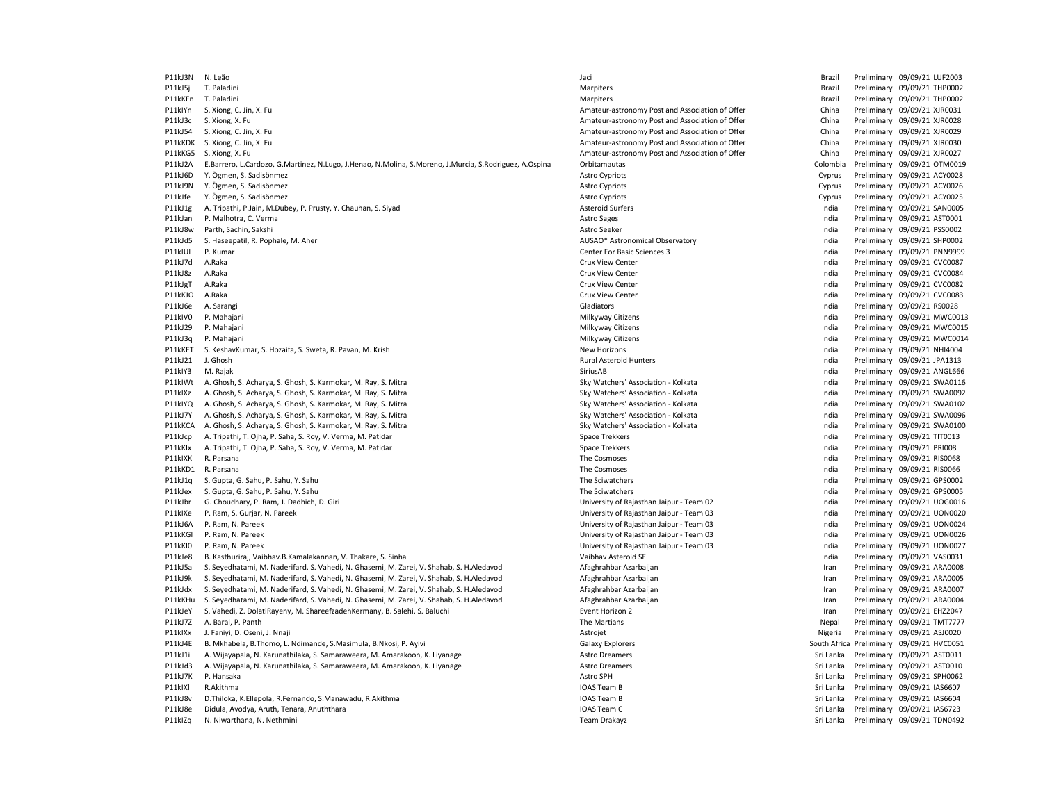P11kJ3N N. Leão Jaci Brazil Preliminary 09/09/21 LUF2003 P11kJ5j T. Paladini entropolitik and the material material material material distributions of the material preliminary 09/09/21 THP0002 P11kKFn T. Paladini **Marchi Marchi Marchi Marchi Marchi Marchi Marchi Marchi Marchi Arabi Preliminary 09/09/21 THP0002** P11kIYn S. Xiong, C. Jin, X. Fu China Preliminary 09/09/21 XJR0031 P11kJ3c S. Xiong, X. Fu China Preliminary 09/09/21 XJR0028<br>P11kJ54 S. Xiong, C. Jin, X. Fu China Preliminary 09/09/21 XJR0029 P11kJ54 S. Xiong, C. Jin, X. Fu China Preliminary Post and Association of Offer China Preliminary Post and Association of Offer China P11kKDK S. Xiong, C. Jin, X. Fu **Amateur-astronomy Post and Association of Offer** China Preliminary 09/09/21 XJR0030 P11kKG5 S. Xiong, X. Fu China Preliminary 09/09/21 XJR0027 P11kJ2A E.Barrero, L.Cardozo, G.Martinez, N.Lugo, J.Henao, N.Molina, S.Moreno, J.Murcia, S.Rodriguez, A.Ospina Orbitamautas Cheminas Colombia Preliminary 09/09/21 OTM0019 P11kJ6D Y. Ögmen, S. Sadisönmez Astro Cypriots Cyprus Preliminary 09/09/21 ACY0028 P11kJ9N Y. Ögmen, S. Sadisönmez Astro Cypriots Cyprus Preliminary 09/09/21 ACY0026 P11kJfe Y. Ögmen, S. Sadisönmez Astro Cypriots Cyprus Preliminary 09/09/21 ACY0025 P21kJ1g A. Tripathi, P.Jain, M.Dubey, P. Prusty, Y. Chauhan, S. Siyad Asteroid Surfers Asteroid Surfers Surfers India Preliminary 09/09/21 SAN0005 P11kJan P. Malhotra, C. Verma **Astro Sages** Astro Sages Astro Sages Astro Sages Astro Sages Astro Sages and the Preliminary 09/09/21 AST0001 P11kJ8w Parth, Sachin, Sakshi Sakshi Astro Seeker Astro Seeker Seeker Astro Seeker Seeker Preliminary 09/09/21 PSS0002 P11kJd5 S. Haseepatil, R. Pophale, M. Aher AUSAO\* Astronomical Observatory India Preliminary 09/09/21 SHP0002 P11kIUI P. Kumar Maria 2010 | Center For Basic Sciences Center For Basic Sciences 3 Center For Basic Sciences 3 Center For Basic Sciences 3 India Preliminary 09/09/21 PNN9999 P11kJ7d A.Raka Crux View Center India Preliminary 09/09/21 CVC0087 P11kJ8z A.Raka **Crux View Center** Crux View Center Crux View Center Crux View Center Crux View Commercial Development of the Preliminary 09/09/21 CVC0084 P11kJgT A.Raka Crux View Center India Preliminary 09/09/21 CVC0082 P11kKJO A.Raka Crux View Center India Preliminary 09/09/21 CVC0083 P11kJ6e A. Sarangi Gladiators India Preliminary 09/09/21 RS0028 P11kIV0 P. Mahajani **Participal and Preliminary 09/09/21 MWC0013** Milkyway Citizens Milkyway Citizens **Preliminary 09/09/21 MWC0013** P11kJ29 P. Mahajani 20/09/21 MWC0015 Nilkyway Citizens Milkyway Citizens Milkyway Citizens and the media Preliminary 09/09/21 MWC0015 P11kJ3q P. Mahajani 29/09/21 MWC0014 Nikyway Citizens Milkyway Citizens Nikyway Citizens india Preliminary 09/09/21 MWC0014 P11kKET S. KeshavKumar, S. Hozaifa, S. Sweta, R. Pavan, M. Krish New Horizons New Horizons New Horizons New Horizons New Horizons New Horizons New Horizons New Horizons New Horizons New Horizons New Horizons New Horizons N P11kJ21 J. Ghosh Rural Asteroid Hunters India Preliminary 09/09/21 JPA1313 P11kIY3 M. Rajak Philippinary 09/09/21 ANGL666 P11kIY3 M. Rajak SiriusAB India Preliminary 09/09/21 ANGL666 P1<br>P11kIWt A. Ghosh. S. Acharva. S. Ghosh. S. Karmokar. M. Rav. S. Mitra Philippinary O. Sky Watchers' Association P11kIWt A. Ghosh, S. Acharya, S. Ghosh, S. Karmokar, M. Ray, S. Mitra Sky Watchers' Association - Kolkata India Preliminary 09/09/21 SWA0116 P11kIXz A. Ghosh, S. Acharya, S. Ghosh, S. Karmokar, M. Ray, S. Mitra Sky Watchers' Association - Kolkata India Preliminary 09/09/21 SWA0092 P11kIYQ A. Ghosh, S. Acharya, S. Ghosh, S. Karmokar, M. Ray, S. Mitra Sky Watchers' Association - Kolkata India Preliminary 09/09/21 SWA0102 P11kJ7Y A. Ghosh, S. Acharya, S. Ghosh, S. Karmokar, M. Ray, S. Mitra Sky Watchers' Association - Kolkata India Preliminary 09/09/21 SWA0096 P11kKCA A. Ghosh, S. Acharya, S. Ghosh, S. Karmokar, M. Ray, S. Mitra Sky Watchers' Association - Kolkata India Preliminary 09/09/21 SWA0100 P11kJcp A. Tripathi, T. Ojha, P. Saha, S. Roy, V. Verma, M. Patidar Space Trekkers India Preliminary 09/09/21 TIT0013 P11kKlx A. Tripathi, T. Ojha, P. Saha, S. Roy, V. Verma, M. Patidar Space Trekkers Space Trekkers India Preliminary 09/09/21 Preliminary 09/09/21 Preliminary 09/09/2009 P11kIXK R. Parsana **Participal Constant Constant Constant Constant Constant Constant Constant Constant Constant Constant Constant Constant Preliminary 09/09/21 RISO068** P11kKD1 R. Parsana **The Cosmoses Computer Computer Computer Computer Computer Computer Computer Computer Computer Computer Computer Computer Computer Computer Computer Computer Computer Computer Computer Computer Computer** P11kJ1q S. Gupta, G. Sahu, P. Sahu, Y. Sahu The Sciwatchers India Preliminary 09/09/21 GPS0002 P11kJex S. Gupta, G. Sahu, P. Sahu, Y. Sahu N. Sahu The Sciwatchers The Sciwatchers Company of the Sciwatchers Company of the Sciwatchers and the Sciwatchers of the Sciwatchers and the Sciwatchers and the Sciwatchers of th P11kJbr G. Choudhary, P. Ram, J. Dadhich, D. Giri University of Rajasthan Jaipur - Team 02 India Preliminary 09/09/21 UOG0016 P11kIXe P. Ram, S. Gurjar, N. Pareek University of Rajasthan Jaipur - Team 03 India Preliminary 09/09/21 UON0020 P11kJ6A P. Ram, N. Pareek University of Rajasthan Jaipur - Team 03 India Preliminary 09/09/21 UON0024 P11kKGl P. Ram, N. Pareek University of Rajasthan Jaipur - Team 03 India Preliminary 09/09/21 UON0026 P11kKI0 P. Ram, N. Pareek University of Rajasthan Jaipur - Team 03 India Preliminary 09/09/21 UON0027 P11kJe8 B. Kasthurirai, Vaibhav.B.Kamalakannan, V. Thakare, S. Sinha Vannes Vaibhav Asteroid Streetoid SE Nash Vaibhav Asteroid SE Vaibhav Asteroid SE Nash and Preliminary 09/09/21 VAS0031 P11kJ5a S. Seyedhatami, M. Naderifard, S. Vahedi, N. Ghasemi, M. Zarei, V. Shahab, S. H.Aledavod Afaghrahbar Azarbaijan Iran Preliminary 09/09/21 ARA0008 P11kJ9k S. Seyedhatami, M. Naderifard, S. Vahedi, N. Ghasemi, M. Zarei, V. Shahab, S. H.Aledavod Afaghrahbar Azarbaijan Iran Preliminary 09/09/21 ARA0005 P11kJdx S. Seyedhatami, M. Naderifard, S. Vahedi, N. Ghasemi, M. Zarei, V. Shahab, S. H.Aledavod Afaghrahbar Azarbaijan Iran Preliminary 09/09/21 ARA0007 P11kKHu S. Seyedhatami, M. Naderifard, S. Vahedi, N. Ghasemi, M. Zarei, V. Shahab, S. H.Aledavod Afaghrahbar Azarbaijan Iran Preliminary 09/09/21 ARA0004 P11kJeY S. Vahedi, Z. DolatiRayeny, M. ShareefzadehKermany, B. Salehi, S. Baluchi Event Horizon 2 Iran Preliminary 09/09/21 EHZ2047 P11kJ7Z A. Baral, P. Panth 2019/21 TMT7777 CHA and David Changes and The Martians Nepal Preliminary 09/09/21 TMT7777 P11kIXx J. Faniyi, D. Oseni, J. Nnaji Astrojet Nigeria Preliminary 09/09/21 ASJ0020 P11kJ4E B. Mkhabela, B.Thomo, L. Ndimande, S.Masimula, B.Nkosi, P. Ayivi Galaxy Explorers South Africa Preliminary 09/09/21 HVC0051 P11kJ1i A. Wijayapala, N. Karunathilaka, S. Samaraweera, M. Amarakoon, K. Liyanage Astro Dreamers Astro Dreamers Communication and the Sri Lanka Preliminary 09/09/21 AST0011 P11kJd3 A. Wijayapala, N. Karunathilaka, S. Samaraweera, M. Amarakoon, K. Liyanage Astro Dreamers Astro Dreamers Communication and Sri Lanka Preliminary 09/09/21 AST0010 P11kJ7K P. Hansaka Astro SPH Sri Lanka Preliminary 09/09/21 SPH0062 P11kIXl R.Akithma IOAS Team B Sri Lanka Preliminary 09/09/21 IAS6607 P11kJ8v D.Thiloka, K.Ellepola, R.Fernando, S.Manawadu, R.Akithma IOAS Team B Sri Lanka Preliminary 09/09/21 IAS6604 P11kJ8e Didula, Avodya, Aruth, Tenara, Anuththara International International Company of the Sri Lanka Preliminary 09/09/21 IAS6723 P11kIZq N. Niwarthana, N. Nethmini **Nimes and State and Team Drakayz** Team Drakayz Sri Lanka Preliminary 09/09/21 TDN0492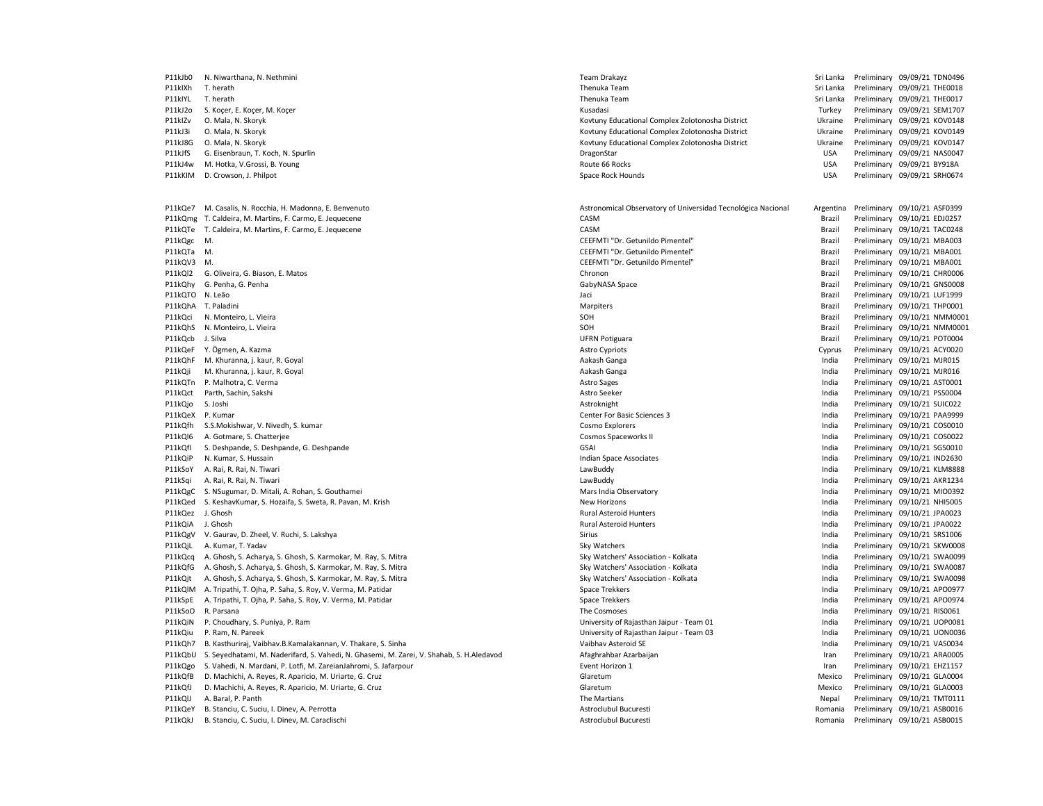| P11kJb0 | N. Niwarthana, N. Nethmini                                                               | Team Drakayz                                                 | Sri Lanka  | Preliminary 09/09/21 TDN0496 |
|---------|------------------------------------------------------------------------------------------|--------------------------------------------------------------|------------|------------------------------|
| P11kIXh | T. herath                                                                                | Thenuka Team                                                 | Sri Lanka  | Preliminary 09/09/21 THE0018 |
| P11kIYL | T. herath                                                                                | Thenuka Team                                                 | Sri Lanka  | Preliminary 09/09/21 THE0017 |
| P11kJ2o | S. Koçer, E. Koçer, M. Koçer                                                             | Kusadasi                                                     | Turkey     | Preliminary 09/09/21 SEM1707 |
| P11kIZv | O. Mala, N. Skoryk                                                                       | Kovtuny Educational Complex Zolotonosha District             | Ukraine    | Preliminary 09/09/21 KOV0148 |
| P11kJ3i | O. Mala, N. Skoryk                                                                       | Kovtuny Educational Complex Zolotonosha District             | Ukraine    | Preliminary 09/09/21 KOV0149 |
| P11kJ8G | O. Mala, N. Skoryk                                                                       | Kovtuny Educational Complex Zolotonosha District             | Ukraine    | Preliminary 09/09/21 KOV0147 |
| P11kJfS | G. Eisenbraun, T. Koch, N. Spurlin                                                       | DragonStar                                                   | <b>USA</b> | Preliminary 09/09/21 NAS0047 |
|         |                                                                                          |                                                              | <b>USA</b> | Preliminary 09/09/21 BY918A  |
| P11kJ4w | M. Hotka, V.Grossi, B. Young                                                             | Route 66 Rocks                                               | <b>USA</b> | Preliminary 09/09/21 SRH0674 |
| P11kKIM | D. Crowson, J. Philpot                                                                   | Space Rock Hounds                                            |            |                              |
| P11kQe7 | M. Casalis, N. Rocchia, H. Madonna, E. Benvenuto                                         | Astronomical Observatory of Universidad Tecnológica Nacional | Argentina  | Preliminary 09/10/21 ASF0399 |
|         | P11kQmg T. Caldeira, M. Martins, F. Carmo, E. Jequecene                                  | CASM                                                         | Brazil     | Preliminary 09/10/21 EDJ0257 |
|         | P11kQTe T. Caldeira, M. Martins, F. Carmo, E. Jequecene                                  | CASM                                                         | Brazil     | Preliminary 09/10/21 TAC0248 |
| P11kQgc | M.                                                                                       | CEEFMTI "Dr. Getunildo Pimentel"                             | Brazil     | Preliminary 09/10/21 MBA003  |
| P11kQTa | M.                                                                                       | CEEFMTI "Dr. Getunildo Pimentel"                             | Brazil     | Preliminary 09/10/21 MBA001  |
| P11kQV3 | M.                                                                                       | CEEFMTI "Dr. Getunildo Pimentel"                             | Brazil     | Preliminary 09/10/21 MBA001  |
| P11kQl2 | G. Oliveira, G. Biason, E. Matos                                                         | Chronon                                                      | Brazil     | Preliminary 09/10/21 CHR0006 |
| P11kQhy | G. Penha, G. Penha                                                                       | GabyNASA Space                                               | Brazil     | Preliminary 09/10/21 GNS0008 |
| P11kQTO | N. Leão                                                                                  | Jaci                                                         | Brazil     | Preliminary 09/10/21 LUF1999 |
| P11kQhA | T. Paladini                                                                              | Marpiters                                                    | Brazil     | Preliminary 09/10/21 THP0001 |
| P11kQci | N. Monteiro, L. Vieira                                                                   | SOH                                                          | Brazil     | Preliminary 09/10/21 NMM0001 |
| P11kQhS | N. Monteiro, L. Vieira                                                                   | SOH                                                          | Brazil     | Preliminary 09/10/21 NMM0001 |
| P11kQcb | J. Silva                                                                                 | <b>UFRN Potiguara</b>                                        | Brazil     | Preliminary 09/10/21 POT0004 |
| P11kQeF | Y. Ögmen, A. Kazma                                                                       | <b>Astro Cypriots</b>                                        | Cyprus     | Preliminary 09/10/21 ACY0020 |
| P11kQhF | M. Khuranna, j. kaur, R. Goyal                                                           | Aakash Ganga                                                 | India      | Preliminary 09/10/21 MJR015  |
| P11kQji | M. Khuranna, j. kaur, R. Goyal                                                           | Aakash Ganga                                                 | India      | Preliminary 09/10/21 MJR016  |
| P11kQTn | P. Malhotra, C. Verma                                                                    | <b>Astro Sages</b>                                           | India      | Preliminary 09/10/21 AST0001 |
| P11kQct | Parth, Sachin, Sakshi                                                                    | Astro Seeker                                                 | India      | Preliminary 09/10/21 PSS0004 |
|         |                                                                                          |                                                              |            |                              |
| P11kQjo | S. Joshi                                                                                 | Astroknight                                                  | India      | Preliminary 09/10/21 SUIC022 |
| P11kQeX | P. Kumar                                                                                 | Center For Basic Sciences 3                                  | India      | Preliminary 09/10/21 PAA9999 |
| P11kQfh | S.S.Mokishwar, V. Nivedh, S. kumar                                                       | Cosmo Explorers                                              | India      | Preliminary 09/10/21 COS0010 |
| P11kQI6 | A. Gotmare, S. Chatterjee                                                                | Cosmos Spaceworks II                                         | India      | Preliminary 09/10/21 COS0022 |
| P11kOfI | S. Deshpande, S. Deshpande, G. Deshpande                                                 | GSAI                                                         | India      | Preliminary 09/10/21 SGS0010 |
| P11kQiP | N. Kumar, S. Hussain                                                                     | Indian Space Associates                                      | India      | Preliminary 09/10/21 IND2630 |
| P11kSoY | A. Rai, R. Rai, N. Tiwari                                                                | LawBuddy                                                     | India      | Preliminary 09/10/21 KLM8888 |
| P11kSqi | A. Rai, R. Rai, N. Tiwari                                                                | LawBuddy                                                     | India      | Preliminary 09/10/21 AKR1234 |
| P11kQgC | S. NSugumar, D. Mitali, A. Rohan, S. Gouthamei                                           | Mars India Observatory                                       | India      | Preliminary 09/10/21 MIO0392 |
| P11kQed | S. KeshavKumar, S. Hozaifa, S. Sweta, R. Pavan, M. Krish                                 | <b>New Horizons</b>                                          | India      | Preliminary 09/10/21 NHI5005 |
| P11kQez | J. Ghosh                                                                                 | <b>Rural Asteroid Hunters</b>                                | India      | Preliminary 09/10/21 JPA0023 |
| P11kQiA | J. Ghosh                                                                                 | <b>Rural Asteroid Hunters</b>                                | India      | Preliminary 09/10/21 JPA0022 |
| P11kQgV | V. Gaurav, D. Zheel, V. Ruchi, S. Lakshya                                                | Sirius                                                       | India      | Preliminary 09/10/21 SRS1006 |
| P11kQjL | A. Kumar, T. Yadav                                                                       | Sky Watchers                                                 | India      | Preliminary 09/10/21 SKW0008 |
| P11kQcq | A. Ghosh, S. Acharya, S. Ghosh, S. Karmokar, M. Ray, S. Mitra                            | Sky Watchers' Association - Kolkata                          | India      | Preliminary 09/10/21 SWA0099 |
| P11kQfG | A. Ghosh, S. Acharya, S. Ghosh, S. Karmokar, M. Ray, S. Mitra                            | Sky Watchers' Association - Kolkata                          | India      | Preliminary 09/10/21 SWA0087 |
| P11kQjt | A. Ghosh, S. Acharya, S. Ghosh, S. Karmokar, M. Ray, S. Mitra                            | Sky Watchers' Association - Kolkata                          | India      | Preliminary 09/10/21 SWA0098 |
| P11kQIM | A. Tripathi, T. Ojha, P. Saha, S. Roy, V. Verma, M. Patidar                              | Space Trekkers                                               | India      | Preliminary 09/10/21 APO0977 |
| P11kSpE | A. Tripathi, T. Ojha, P. Saha, S. Roy, V. Verma, M. Patidar                              | Space Trekkers                                               | India      | Preliminary 09/10/21 APO0974 |
| P11kSoO | R. Parsana                                                                               | The Cosmoses                                                 | India      | Preliminary 09/10/21 RIS0061 |
| P11kQiN | P. Choudhary, S. Puniya, P. Ram                                                          | University of Rajasthan Jaipur - Team 01                     | India      | Preliminary 09/10/21 UOP0081 |
| P11kQiu | P. Ram, N. Pareek                                                                        | University of Rajasthan Jaipur - Team 03                     | India      | Preliminary 09/10/21 UON0036 |
| P11kQh7 | B. Kasthuriraj, Vaibhav.B.Kamalakannan, V. Thakare, S. Sinha                             | Vaibhav Asteroid SE                                          | India      | Preliminary 09/10/21 VAS0034 |
| P11kQbU | S. Seyedhatami, M. Naderifard, S. Vahedi, N. Ghasemi, M. Zarei, V. Shahab, S. H.Aledavod | Afaghrahbar Azarbaijan                                       | Iran       | Preliminary 09/10/21 ARA0005 |
|         |                                                                                          | Event Horizon 1                                              |            | Preliminary 09/10/21 EHZ1157 |
| P11kQgo | S. Vahedi, N. Mardani, P. Lotfi, M. ZareianJahromi, S. Jafarpour                         |                                                              | Iran       |                              |
| P11kQfB | D. Machichi, A. Reyes, R. Aparicio, M. Uriarte, G. Cruz                                  | Glaretum                                                     | Mexico     | Preliminary 09/10/21 GLA0004 |
| P11kQfJ | D. Machichi, A. Reyes, R. Aparicio, M. Uriarte, G. Cruz                                  | Glaretum                                                     | Mexico     | Preliminary 09/10/21 GLA0003 |
| P11kQIJ | A. Baral, P. Panth                                                                       | The Martians                                                 | Nepal      | Preliminary 09/10/21 TMT0111 |
| P11kQeY | B. Stanciu, C. Suciu, I. Dinev, A. Perrotta                                              | Astroclubul Bucuresti                                        | Romania    | Preliminary 09/10/21 ASB0016 |
| P11kQkJ | B. Stanciu, C. Suciu, I. Dinev, M. Caraclischi                                           | Astroclubul Bucuresti                                        | Romania    | Preliminary 09/10/21 ASB0015 |